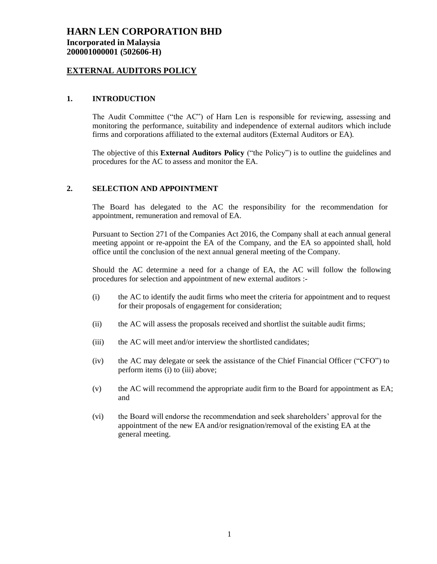# **HARN LEN CORPORATION BHD Incorporated in Malaysia 200001000001 (502606-H)**

### **EXTERNAL AUDITORS POLICY**

#### **1. INTRODUCTION**

The Audit Committee ("the AC") of Harn Len is responsible for reviewing, assessing and monitoring the performance, suitability and independence of external auditors which include firms and corporations affiliated to the external auditors (External Auditors or EA).

The objective of this **External Auditors Policy** ("the Policy") is to outline the guidelines and procedures for the AC to assess and monitor the EA.

#### **2. SELECTION AND APPOINTMENT**

The Board has delegated to the AC the responsibility for the recommendation for appointment, remuneration and removal of EA.

Pursuant to Section 271 of the Companies Act 2016, the Company shall at each annual general meeting appoint or re-appoint the EA of the Company, and the EA so appointed shall, hold office until the conclusion of the next annual general meeting of the Company.

Should the AC determine a need for a change of EA, the AC will follow the following procedures for selection and appointment of new external auditors :-

- (i) the AC to identify the audit firms who meet the criteria for appointment and to request for their proposals of engagement for consideration;
- (ii) the AC will assess the proposals received and shortlist the suitable audit firms;
- (iii) the AC will meet and/or interview the shortlisted candidates;
- (iv) the AC may delegate or seek the assistance of the Chief Financial Officer ("CFO") to perform items (i) to (iii) above;
- (v) the AC will recommend the appropriate audit firm to the Board for appointment as EA; and
- (vi) the Board will endorse the recommendation and seek shareholders' approval for the appointment of the new EA and/or resignation/removal of the existing EA at the general meeting.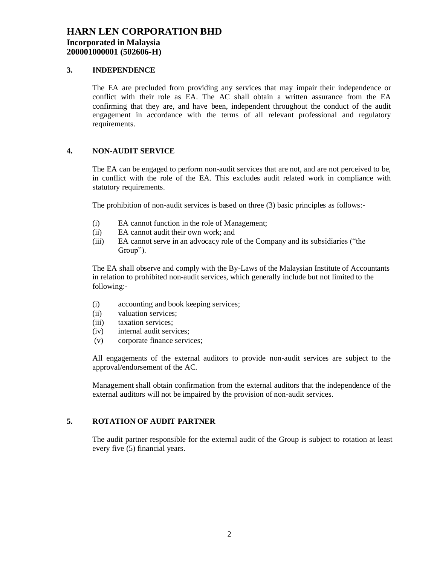# **HARN LEN CORPORATION BHD Incorporated in Malaysia 200001000001 (502606-H)**

#### **3. INDEPENDENCE**

The EA are precluded from providing any services that may impair their independence or conflict with their role as EA. The AC shall obtain a written assurance from the EA confirming that they are, and have been, independent throughout the conduct of the audit engagement in accordance with the terms of all relevant professional and regulatory requirements.

#### **4. NON-AUDIT SERVICE**

The EA can be engaged to perform non-audit services that are not, and are not perceived to be, in conflict with the role of the EA. This excludes audit related work in compliance with statutory requirements.

The prohibition of non-audit services is based on three (3) basic principles as follows:-

- (i) EA cannot function in the role of Management;
- (ii) EA cannot audit their own work; and
- (iii) EA cannot serve in an advocacy role of the Company and its subsidiaries ("the Group").

The EA shall observe and comply with the By-Laws of the Malaysian Institute of Accountants in relation to prohibited non-audit services, which generally include but not limited to the following:-

- (i) accounting and book keeping services;
- (ii) valuation services;
- (iii) taxation services;
- (iv) internal audit services;
- (v) corporate finance services;

All engagements of the external auditors to provide non-audit services are subject to the approval/endorsement of the AC.

Management shall obtain confirmation from the external auditors that the independence of the external auditors will not be impaired by the provision of non-audit services.

## **5. ROTATION OF AUDIT PARTNER**

The audit partner responsible for the external audit of the Group is subject to rotation at least every five (5) financial years.